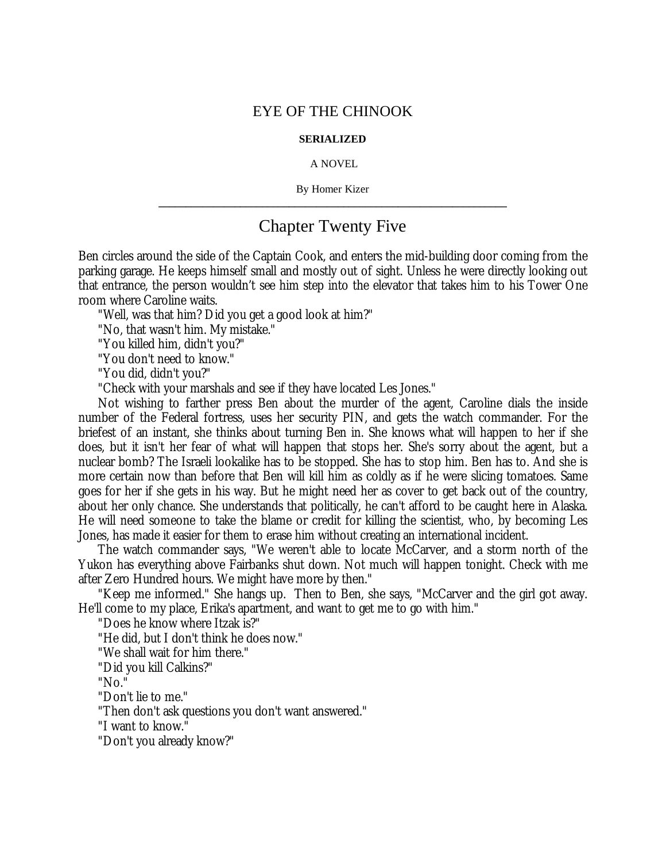## EYE OF THE CHINOOK

## **SERIALIZED**

## A NOVEL

By Homer Kizer **\_\_\_\_\_\_\_\_\_\_\_\_\_\_\_\_\_\_\_\_\_\_\_\_\_\_\_\_\_\_\_\_\_\_\_\_\_\_\_\_\_\_\_\_\_\_\_\_\_\_\_\_\_\_\_\_\_\_\_\_\_\_\_\_**

## Chapter Twenty Five

Ben circles around the side of the Captain Cook, and enters the mid-building door coming from the parking garage. He keeps himself small and mostly out of sight. Unless he were directly looking out that entrance, the person wouldn't see him step into the elevator that takes him to his Tower One room where Caroline waits.

"Well, was that him? Did you get a good look at him?"

"No, that wasn't him. My mistake."

"You killed him, didn't you?"

"You don't need to know."

"You did, didn't you?"

"Check with your marshals and see if they have located Les Jones."

Not wishing to farther press Ben about the murder of the agent, Caroline dials the inside number of the Federal fortress, uses her security PIN, and gets the watch commander. For the briefest of an instant, she thinks about turning Ben in. She knows what will happen to her if she does, but it isn't her fear of what will happen that stops her. She's sorry about the agent, but a nuclear bomb? The Israeli lookalike has to be stopped. She has to stop him. Ben has to. And she is more certain now than before that Ben will kill him as coldly as if he were slicing tomatoes. Same goes for her if she gets in his way. But he might need her as cover to get back out of the country, about her only chance. She understands that politically, he can't afford to be caught here in Alaska. He will need someone to take the blame or credit for killing the scientist, who, by becoming Les Jones, has made it easier for them to erase him without creating an international incident.

The watch commander says, "We weren't able to locate McCarver, and a storm north of the Yukon has everything above Fairbanks shut down. Not much will happen tonight. Check with me after Zero Hundred hours. We might have more by then."

"Keep me informed." She hangs up. Then to Ben, she says, "McCarver and the girl got away. He'll come to my place, Erika's apartment, and want to get me to go with him."

"Does he know where Itzak is?"

"He did, but I don't think he does now."

"We shall wait for him there."

"Did you kill Calkins?"

"No."

"Don't lie to me."

"Then don't ask questions you don't want answered."

"I want to know."

"Don't you already know?"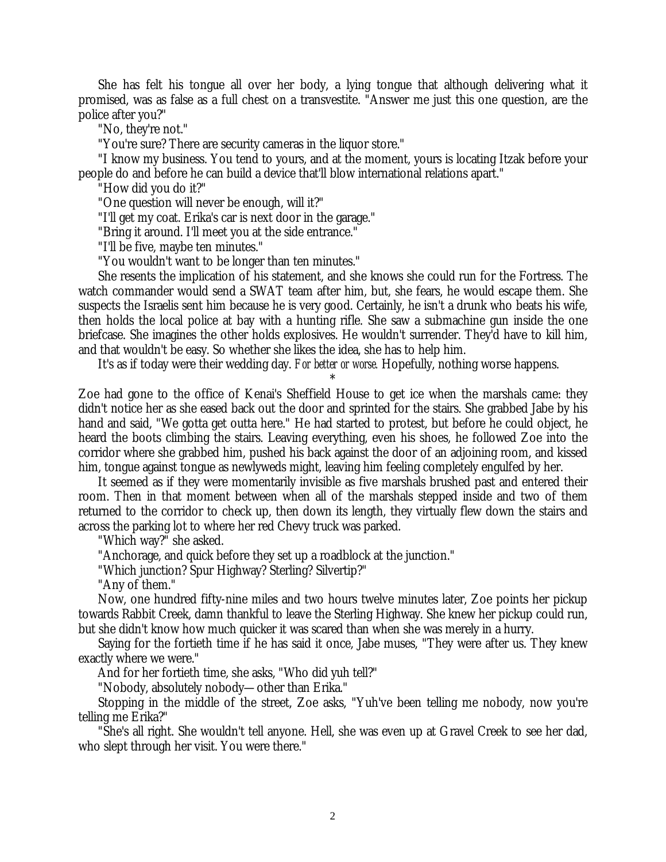She has felt his tongue all over her body, a lying tongue that although delivering what it promised, was as false as a full chest on a transvestite. "Answer me just this one question, are the police after you?"

"No, they're not."

"You're sure? There are security cameras in the liquor store."

"I know my business. You tend to yours, and at the moment, yours is locating Itzak before your people do and before he can build a device that'll blow international relations apart."

"How did you do it?"

"One question will never be enough, will it?"

"I'll get my coat. Erika's car is next door in the garage."

"Bring it around. I'll meet you at the side entrance."

"I'll be five, maybe ten minutes."

"You wouldn't want to be longer than ten minutes."

She resents the implication of his statement, and she knows she could run for the Fortress. The watch commander would send a SWAT team after him, but, she fears, he would escape them. She suspects the Israelis sent him because he is very good. Certainly, he isn't a drunk who beats his wife, then holds the local police at bay with a hunting rifle. She saw a submachine gun inside the one briefcase. She imagines the other holds explosives. He wouldn't surrender. They'd have to kill him, and that wouldn't be easy. So whether she likes the idea, she has to help him.

It's as if today were their wedding day. *For better or worse.* Hopefully, nothing worse happens.

\* Zoe had gone to the office of Kenai's Sheffield House to get ice when the marshals came: they didn't notice her as she eased back out the door and sprinted for the stairs. She grabbed Jabe by his hand and said, "We gotta get outta here." He had started to protest, but before he could object, he heard the boots climbing the stairs. Leaving everything, even his shoes, he followed Zoe into the corridor where she grabbed him, pushed his back against the door of an adjoining room, and kissed him, tongue against tongue as newlyweds might, leaving him feeling completely engulfed by her.

It seemed as if they were momentarily invisible as five marshals brushed past and entered their room. Then in that moment between when all of the marshals stepped inside and two of them returned to the corridor to check up, then down its length, they virtually flew down the stairs and across the parking lot to where her red Chevy truck was parked.

"Which way?" she asked.

"Anchorage, and quick before they set up a roadblock at the junction."

"Which junction? Spur Highway? Sterling? Silvertip?"

"Any of them."

Now, one hundred fifty-nine miles and two hours twelve minutes later, Zoe points her pickup towards Rabbit Creek, damn thankful to leave the Sterling Highway. She knew her pickup could run, but she didn't know how much quicker it was scared than when she was merely in a hurry.

Saying for the fortieth time if he has said it once, Jabe muses, "They were after us. They knew exactly where we were."

And for her fortieth time, she asks, "Who did yuh tell?"

"Nobody, absolutely nobody— other than Erika."

Stopping in the middle of the street, Zoe asks, "Yuh've been telling me nobody, now you're telling me Erika?"

"She's all right. She wouldn't tell anyone. Hell, she was even up at Gravel Creek to see her dad, who slept through her visit. You were there."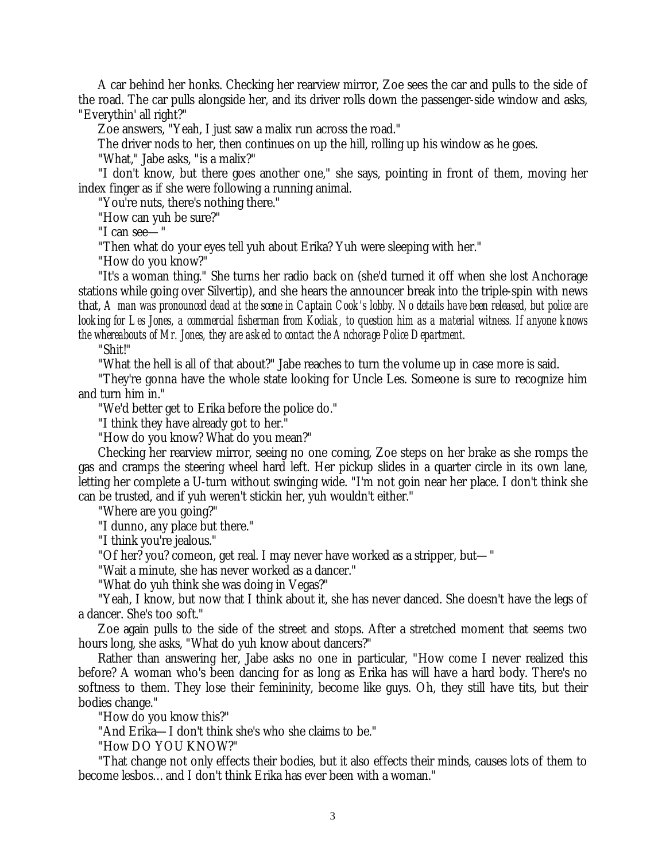A car behind her honks. Checking her rearview mirror, Zoe sees the car and pulls to the side of the road. The car pulls alongside her, and its driver rolls down the passenger-side window and asks, "Everythin' all right?"

Zoe answers, "Yeah, I just saw a malix run across the road."

The driver nods to her, then continues on up the hill, rolling up his window as he goes.

"What," Jabe asks, "is a malix?"

"I don't know, but there goes another one," she says, pointing in front of them, moving her index finger as if she were following a running animal.

"You're nuts, there's nothing there."

"How can yuh be sure?"

"I can see— "

"Then what do your eyes tell yuh about Erika? Yuh were sleeping with her."

"How do you know?"

"It's a woman thing." She turns her radio back on (she'd turned it off when she lost Anchorage stations while going over Silvertip), and she hears the announcer break into the triple-spin with news that, *A man was pronounced dead at the scene in Captain Cook's lobby. No details have been released, but police are looking for Les Jones, a commercial fisherman from Kodiak, to question him as a material witness. If anyone knows the whereabouts of Mr. Jones, they are asked to contact the Anchorage Police Department.*

"Shit!"

"What the hell is all of that about?" Jabe reaches to turn the volume up in case more is said.

"They're gonna have the whole state looking for Uncle Les. Someone is sure to recognize him and turn him in."

"We'd better get to Erika before the police do."

"I think they have already got to her."

"How do you know? What do you mean?"

Checking her rearview mirror, seeing no one coming, Zoe steps on her brake as she romps the gas and cramps the steering wheel hard left. Her pickup slides in a quarter circle in its own lane, letting her complete a U-turn without swinging wide. "I'm not goin near her place. I don't think she can be trusted, and if yuh weren't stickin her, yuh wouldn't either."

"Where are you going?"

"I dunno, any place but there."

"I think you're jealous."

"Of her? you? comeon, get real. I may never have worked as a stripper, but— "

"Wait a minute, she has never worked as a dancer."

"What do yuh think she was doing in Vegas?"

"Yeah, I know, but now that I think about it, she has never danced. She doesn't have the legs of a dancer. She's too soft."

Zoe again pulls to the side of the street and stops. After a stretched moment that seems two hours long, she asks, "What do yuh know about dancers?"

Rather than answering her, Jabe asks no one in particular, "How come I never realized this before? A woman who's been dancing for as long as Erika has will have a hard body. There's no softness to them. They lose their femininity, become like guys. Oh, they still have tits, but their bodies change."

"How do you know this?"

"And Erika— I don't think she's who she claims to be."

"How DO YOU KNOW?"

"That change not only effects their bodies, but it also effects their minds, causes lots of them to become lesbos… and I don't think Erika has ever been with a woman."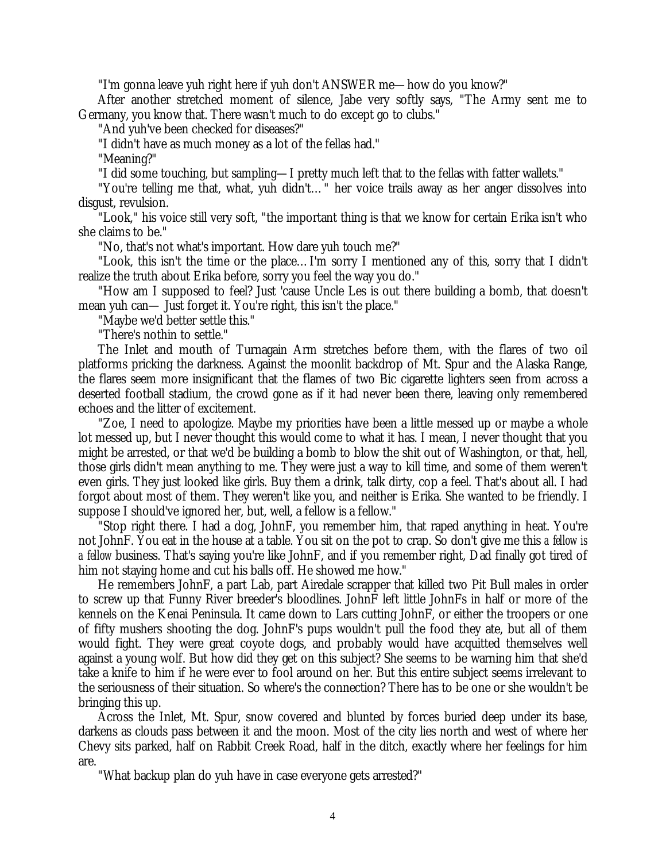"I'm gonna leave yuh right here if yuh don't ANSWER me— how do you know?"

After another stretched moment of silence, Jabe very softly says, "The Army sent me to Germany, you know that. There wasn't much to do except go to clubs."

"And yuh've been checked for diseases?"

"I didn't have as much money as a lot of the fellas had."

"Meaning?"

"I did some touching, but sampling— I pretty much left that to the fellas with fatter wallets."

"You're telling me that, what, yuh didn't… " her voice trails away as her anger dissolves into disgust, revulsion.

"Look," his voice still very soft, "the important thing is that we know for certain Erika isn't who she claims to be."

"No, that's not what's important. How dare yuh touch me?"

"Look, this isn't the time or the place… I'm sorry I mentioned any of this, sorry that I didn't realize the truth about Erika before, sorry you feel the way you do."

"How am I supposed to feel? Just 'cause Uncle Les is out there building a bomb, that doesn't mean yuh can— Just forget it. You're right, this isn't the place."

"Maybe we'd better settle this."

"There's nothin to settle."

The Inlet and mouth of Turnagain Arm stretches before them, with the flares of two oil platforms pricking the darkness. Against the moonlit backdrop of Mt. Spur and the Alaska Range, the flares seem more insignificant that the flames of two Bic cigarette lighters seen from across a deserted football stadium, the crowd gone as if it had never been there, leaving only remembered echoes and the litter of excitement.

"Zoe, I need to apologize. Maybe my priorities have been a little messed up or maybe a whole lot messed up, but I never thought this would come to what it has. I mean, I never thought that you might be arrested, or that we'd be building a bomb to blow the shit out of Washington, or that, hell, those girls didn't mean anything to me. They were just a way to kill time, and some of them weren't even girls. They just looked like girls. Buy them a drink, talk dirty, cop a feel. That's about all. I had forgot about most of them. They weren't like you, and neither is Erika. She wanted to be friendly. I suppose I should've ignored her, but, well, a fellow is a fellow."

"Stop right there. I had a dog, JohnF, you remember him, that raped anything in heat. You're not JohnF. You eat in the house at a table. You sit on the pot to crap. So don't give me this *a fellow is a fellow* business. That's saying you're like JohnF, and if you remember right, Dad finally got tired of him not staying home and cut his balls off. He showed me how."

He remembers JohnF, a part Lab, part Airedale scrapper that killed two Pit Bull males in order to screw up that Funny River breeder's bloodlines. JohnF left little JohnFs in half or more of the kennels on the Kenai Peninsula. It came down to Lars cutting JohnF, or either the troopers or one of fifty mushers shooting the dog. JohnF's pups wouldn't pull the food they ate, but all of them would fight. They were great coyote dogs, and probably would have acquitted themselves well against a young wolf. But how did they get on this subject? She seems to be warning him that she'd take a knife to him if he were ever to fool around on her. But this entire subject seems irrelevant to the seriousness of their situation. So where's the connection? There has to be one or she wouldn't be bringing this up.

Across the Inlet, Mt. Spur, snow covered and blunted by forces buried deep under its base, darkens as clouds pass between it and the moon. Most of the city lies north and west of where her Chevy sits parked, half on Rabbit Creek Road, half in the ditch, exactly where her feelings for him are.

"What backup plan do yuh have in case everyone gets arrested?"